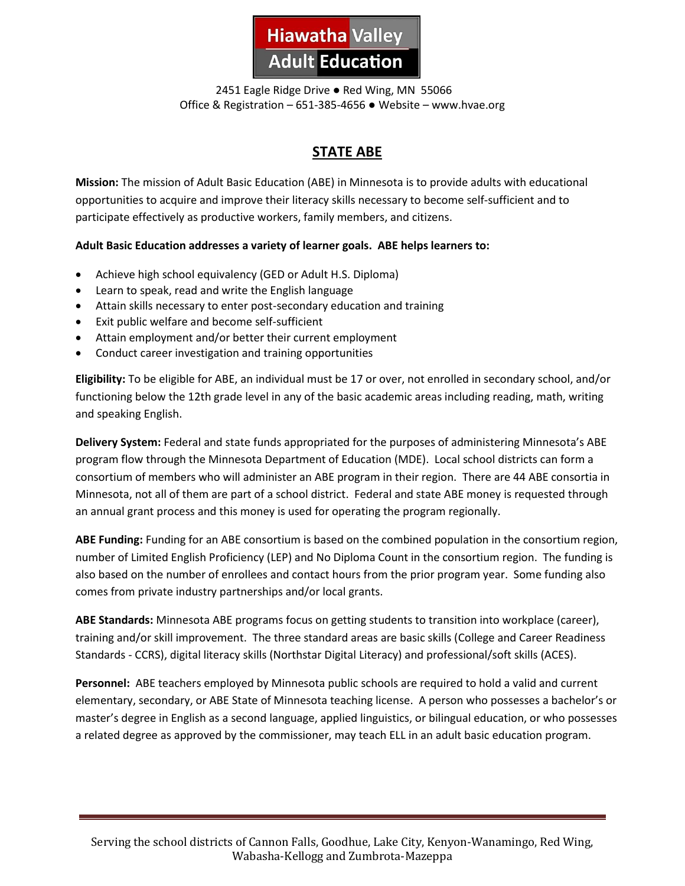

 2451 Eagle Ridge Drive ● Red Wing, MN 55066 Office & Registration – 651-385-4656 ● Website – www.hvae.org

# **STATE ABE**

**Mission:** The mission of Adult Basic Education (ABE) in Minnesota is to provide adults with educational opportunities to acquire and improve their literacy skills necessary to become self-sufficient and to participate effectively as productive workers, family members, and citizens.

#### **Adult Basic Education addresses a variety of learner goals. ABE helps learners to:**

- Achieve high school equivalency (GED or Adult H.S. Diploma)
- Learn to speak, read and write the English language
- Attain skills necessary to enter post-secondary education and training
- Exit public welfare and become self-sufficient
- Attain employment and/or better their current employment
- Conduct career investigation and training opportunities

**Eligibility:** To be eligible for ABE, an individual must be 17 or over, not enrolled in secondary school, and/or functioning below the 12th grade level in any of the basic academic areas including reading, math, writing and speaking English.

**Delivery System:** Federal and state funds appropriated for the purposes of administering Minnesota's ABE program flow through the Minnesota Department of Education (MDE). Local school districts can form a consortium of members who will administer an ABE program in their region. There are 44 ABE consortia in Minnesota, not all of them are part of a school district. Federal and state ABE money is requested through an annual grant process and this money is used for operating the program regionally.

**ABE Funding:** Funding for an ABE consortium is based on the combined population in the consortium region, number of Limited English Proficiency (LEP) and No Diploma Count in the consortium region. The funding is also based on the number of enrollees and contact hours from the prior program year. Some funding also comes from private industry partnerships and/or local grants.

**ABE Standards:** Minnesota ABE programs focus on getting students to transition into workplace (career), training and/or skill improvement. The three standard areas are basic skills (College and Career Readiness Standards - CCRS), digital literacy skills (Northstar Digital Literacy) and professional/soft skills (ACES).

**Personnel:** ABE teachers employed by Minnesota public schools are required to hold a valid and current elementary, secondary, or ABE State of Minnesota teaching license. A person who possesses a bachelor's or master's degree in English as a second language, applied linguistics, or bilingual education, or who possesses a related degree as approved by the commissioner, may teach ELL in an adult basic education program.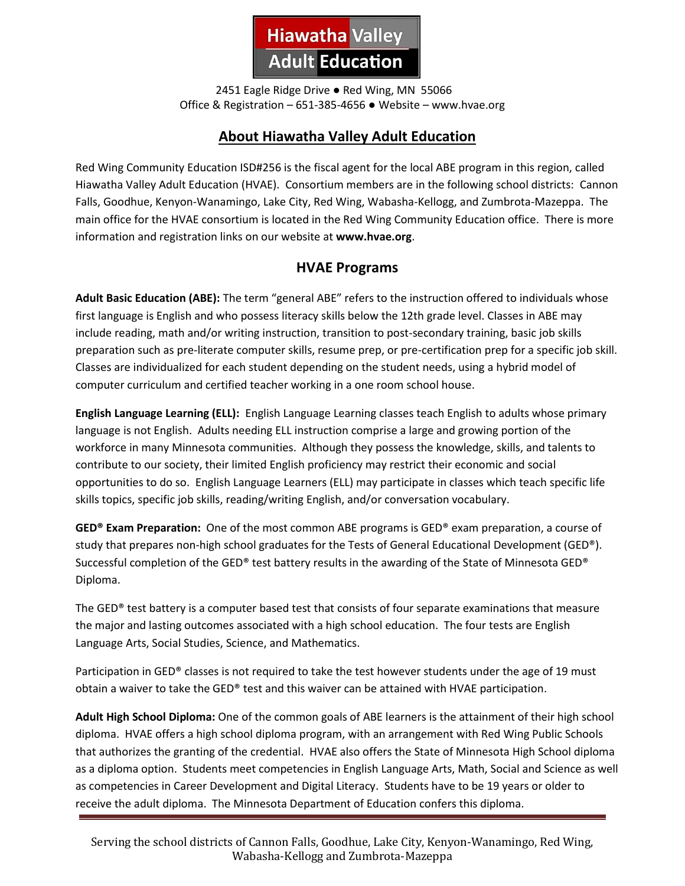

 2451 Eagle Ridge Drive ● Red Wing, MN 55066 Office & Registration – 651-385-4656 ● Website – www.hvae.org

# **About Hiawatha Valley Adult Education**

Red Wing Community Education ISD#256 is the fiscal agent for the local ABE program in this region, called Hiawatha Valley Adult Education (HVAE). Consortium members are in the following school districts: Cannon Falls, Goodhue, Kenyon-Wanamingo, Lake City, Red Wing, Wabasha-Kellogg, and Zumbrota-Mazeppa. The main office for the HVAE consortium is located in the Red Wing Community Education office. There is more information and registration links on our website at **www.hvae.org**.

## **HVAE Programs**

**Adult Basic Education (ABE):** The term "general ABE" refers to the instruction offered to individuals whose first language is English and who possess literacy skills below the 12th grade level. Classes in ABE may include reading, math and/or writing instruction, transition to post-secondary training, basic job skills preparation such as pre-literate computer skills, resume prep, or pre-certification prep for a specific job skill. Classes are individualized for each student depending on the student needs, using a hybrid model of computer curriculum and certified teacher working in a one room school house.

**English Language Learning (ELL):** English Language Learning classes teach English to adults whose primary language is not English. Adults needing ELL instruction comprise a large and growing portion of the workforce in many Minnesota communities. Although they possess the knowledge, skills, and talents to contribute to our society, their limited English proficiency may restrict their economic and social opportunities to do so. English Language Learners (ELL) may participate in classes which teach specific life skills topics, specific job skills, reading/writing English, and/or conversation vocabulary.

**GED® Exam Preparation:** One of the most common ABE programs is GED® exam preparation, a course of study that prepares non-high school graduates for the Tests of General Educational Development (GED®). Successful completion of the GED® test battery results in the awarding of the State of Minnesota GED® Diploma.

The GED® test battery is a computer based test that consists of four separate examinations that measure the major and lasting outcomes associated with a high school education. The four tests are English Language Arts, Social Studies, Science, and Mathematics.

Participation in GED® classes is not required to take the test however students under the age of 19 must obtain a waiver to take the GED® test and this waiver can be attained with HVAE participation.

**Adult High School Diploma:** One of the common goals of ABE learners is the attainment of their high school diploma. HVAE offers a high school diploma program, with an arrangement with Red Wing Public Schools that authorizes the granting of the credential. HVAE also offers the State of Minnesota High School diploma as a diploma option. Students meet competencies in English Language Arts, Math, Social and Science as well as competencies in Career Development and Digital Literacy. Students have to be 19 years or older to receive the adult diploma. The Minnesota Department of Education confers this diploma.